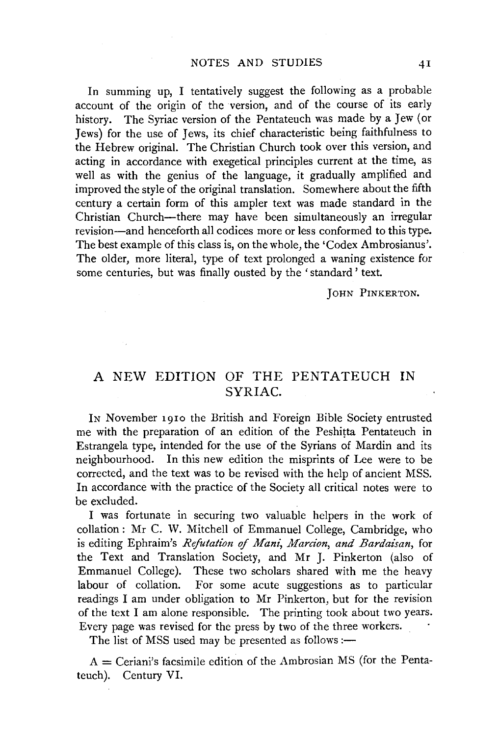In summing up, I tentatively suggest the following as a probable account of the origin of the version, and of the course of its early history. The Syriac version of the Pentateuch was made by a Jew (or Jews) for the use of Jews, its chief characteristic being faithfulness to the Hebrew original. The Christian Church took over this version, and acting in accordance with exegetical principles current at the time, as well as with the genius of the language, it gradually amplified and improved the style of the original translation. Somewhere about the fifth century a certain form of this ampler text was made standard in the Christian Church-there may have been simultaneously an irregular revision-and henceforth all codices more or less conformed to this type. The best example of this class is, on the whole, the 'Codex Ambrosianus'. The older, more literal, type of text prolonged a waning existence for some centuries, but was finally ousted by the 'standard' text.

**JOHN PINKERTON.** 

## A NEW EDITION OF THE PENTATEUCH IN SYRIAC.

IN November 1910 the British and Foreign Bible Society entrusted me with the preparation of an edition of the Peshitta Pentateuch in Estrangela type, intended for the use of the Syrians of Mardin and its neighbourhood. In this new edition the misprints of Lee were to be corrected, and the text was to be revised with the help of ancient MSS. In accordance with the practice of the Society all critical notes were to be excluded.

I was fortunate in securing two valuable helpers in the work of collation : Mr C. W. Mitchell of Emmanuel College, Cambridge, who is editing Ephraim's *Refutation of Mani, Marcion, and Bardaisan,* for the Text and Translation Society, and Mr J. Pinkerton (also of Emmanuel College). These two scholars shared with me the heavy labour of collation. For some acute suggestions as to particular readings I am under obligation to Mr Pinkerton, but for the revision of the text I am alone responsible. The printing took about two years. Every page was revised for the press by two of the three workers.

The list of MSS used may be presented as follows :-

 $A =$  Ceriani's facsimile edition of the Ambrosian MS (for the Pentateuch). Century VI.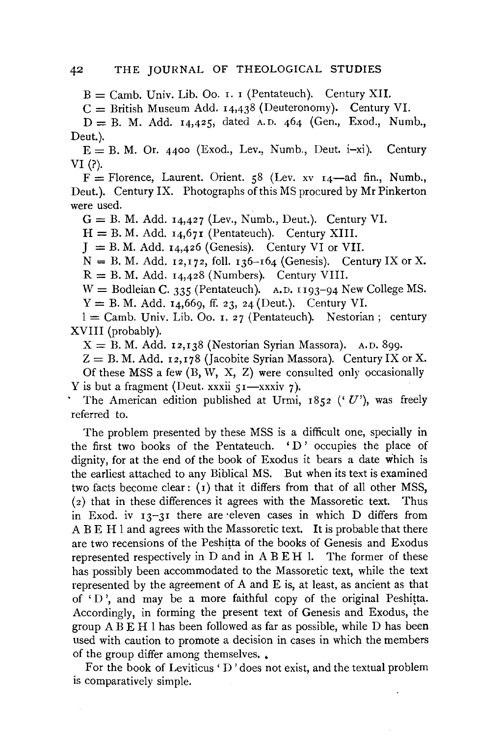$B =$  Camb. Univ. Lib. Oo. 1. 1 (Pentateuch). Century XII.

 $C =$  British Museum Add. 14,438 (Deuteronomy). Century VI.

 $D = B$ . M. Add. 14,425, dated A.D. 464 (Gen., Exod., Numb., Deut.).

 $E = B$ . M. Or. 4400 (Exod., Lev., Numb., Deut. i-xi). Century VI(?).

 $F =$  Florence, Laurent. Orient. 58 (Lev. xv  $I_4$ —ad fin., Numb., Deut.). Century IX. Photographs of this MS procured by Mr Pinkerton were used.

 $G = B$ . M. Add. 14,427 (Lev., Numb., Deut.). Century VI.

 $H = B$ . M. Add. 14,671 (Pentateuch). Century XIII.

 $J = B$ . M. Add. 14,426 (Genesis). Century VI or VII.

 $N = B$ . M. Add. 12,172, foll. 136-164 (Genesis). Century IX or X.  $R = B$ . M. Add. 14,428 (Numbers). Century VIII.

 $W =$  Bodleian C. 335 (Pentateuch). A.D. 1193-94 New College MS.  $Y = B$ . M. Add. 14,669, ff. 23, 24 (Deut.). Century VI.

 $1 =$  Camb. Univ. Lib. Oo. 1. 27 (Pentateuch). Nestorian; century XVIII (probably).

 $X = B$ . M. Add. 12,138 (Nestorian Syrian Massora). A.D. 899.

 $Z = B$ . M. Add. 12,178 (Jacobite Syrian Massora). Century IX or X.

Of these MSS a few  $(B, W, X, Z)$  were consulted only occasionally Y is but a fragment (Deut. xxxii  $51$ -xxxiv 7).

The American edition published at Urmi,  $1852$  ('U'), was freely referred to.

The problem presented by these MSS is a difficult one, specially in the first two books of the Pentateuch.  $\Delta$  'D' occupies the place of dignity, for at the end of the book of Exodus it bears a date which is the earliest attached to any Biblical MS. But when its text is examined two facts become clear :  $(i)$  that it differs from that of all other MSS,  $(2)$  that in these differences it agrees with the Massoretic text. Thus in Exod. iv  $13-31$  there are eleven cases in which D differs from A B E H 1 and agrees with the Massoretic text. It is probable that there are two recensions of the Peshitta of the books of Genesis and Exodus represented respectively in D and in A B E H 1. The former of these has possibly been accommodated to the Massoretic text, while the text represented by the agreement of A and E is, at least, as ancient as that of 'D ', and may be a more faithful copy of the original Peshitta. Accordingly, in forming the present text of Genesis and Exodus, the group  $A \overline{B} E H$  1 has been followed as far as possible, while  $D$  has been used with caution to promote a decision in cases in which the members of the group differ among themselves..

For the book of Leviticus' D' does not exist, and the textual problem is comparatively simple.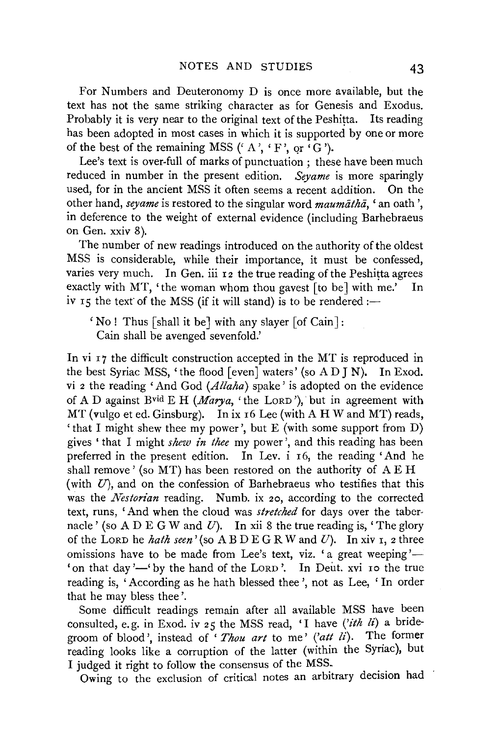For Numbers and Deuteronomy D is once more available, but the text has not the same striking character as for Genesis and Exodus. Probably it is very near to the original text of the Peshitta. Its reading has been adopted in most cases in which it is supported by one or more of the best of the remaining MSS ( $A$ ,  $\cdot$  F', or  $\cdot$  G').

Lee's text is over-full of marks of punctuation ; these have been much reduced in number in the present edition. *Seyame* is more sparingly used, for in the ancient MSS it often seems a recent addition. On the other hand, *seyame* is restored to the singular word *maumatha*.  $\epsilon$  an oath ', in deference to the weight of external evidence (including Barhebraeus on Gen. xxiv 8).

The number of new readings introduced on the authority of the oldest MSS is considerable, while their importance, it must be confessed, varies very much. In Gen. iii  $r_2$  the true reading of the Peshitta agrees exactly with MT, 'the woman whom thou gavest [to be] with me.' In iv 15 the text of the MSS (if it will stand) is to be rendered :-

 $'$  No! Thus [shall it be] with any slayer [of Cain]: Cain shall be avenged sevenfold.'

In vi 17 the difficult construction accepted in the MT is reproduced in the best Syriac MSS, 'the flood [even] waters' (so AD J N). In Exod. vi 2 the reading 'And God *(Allaha)* spake' is adopted on the evidence of A D against Bvid E H *(Marya,* 'the LoRD'), but in agreement with MT (vulgo et ed. Ginsburg). In ix 16 Lee (with A H W and MT) reads, 'that I might shew thee my power', but E (with some support from D) gives 'that I might *shew in thee* my power', and this reading has been preferred in the present edition. In Lev. i 16, the reading 'And he shall remove' (so MT) has been restored on the authority of A EH (with  $U$ ), and on the confession of Barhebraeus who testifies that this was the *Nestorian* reading. Numb. ix 20, according to the corrected text, runs, 'And when the cloud was *stretched* for days over the tabernacle' (so A D E G W and  $U$ ). In xii 8 the true reading is, 'The glory of the LORD he *hath seen'* (so  $\overline{AB}$   $\overline{D}$   $\overline{E}$   $\overline{G}$  R W and  $U$ ). In xiv  $\overline{I}$ , 2 three omissions have to be made from Lee's text, viz. 'a great weeping'-'on that day'-' by the hand of the LORD'. In Deut. xvi 10 the true reading is, 'According as he hath blessed thee', not as Lee, 'In order that he may bless thee'.

Some difficult readings remain after all available MSS have been consulted, e.g. in Exod. iv 25 the MSS read, 'I have *('ith li)* a bridegroom of blood', instead of 'Thou art to me' ('att li). The former reading looks like a corruption of the latter (within the Syriac), but I judged it right to follow the consensus of the MSS.

Owing to the exclusion of critical notes an arbitrary decision had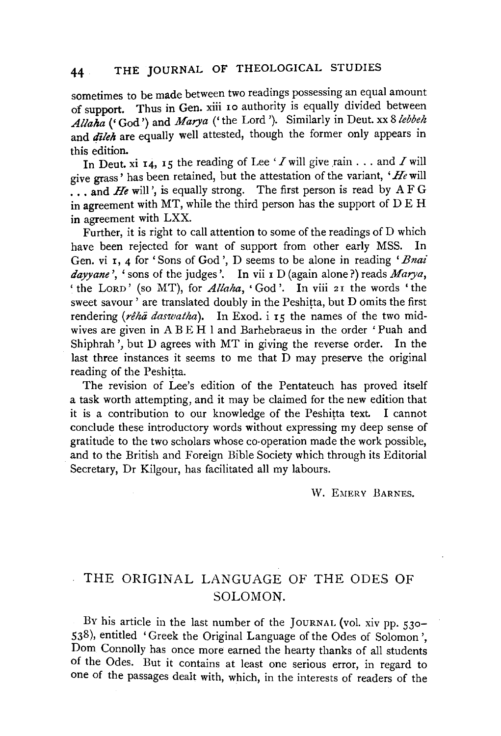sometimes to be made between two readings possessing an equal amount of support. Thus in Gen. xiii ro authority is equally divided between *Allalza* ('God') and *Marya* ('the Lord'). Similarly in Deut. xx *Slebbeh*  and *dileh* are equally well attested, though the former only appears in this edition.

In Deut. xi 14, 15 the reading of Lee  $'I$  will give rain . . . and  $I$  will give grass ' has been retained, but the attestation of the variant, *'He* will ... and *He* will', is equally strong. The first person is read by AFG in agreement with MT, while the third person has the support of DE H in agreement with LXX.

Further, it is right to call attention to some of the readings of D which have been rejected for want of support from other early MSS. In Gen. vi r, 4 for 'Sons of God', D seems to be alone in reading *'Bnai dayyane* ', ' sons of the judges'. In vii I D (again alone?) reads *Marya,*  ' the Lorp' (so MT), for *Allaha*, 'God'. In viii 21 the words 'the sweet savour' are translated doubly in the Peshitta, but D omits the first rendering (rêhā daswatha). In Exod. i 15 the names of the two midwives are given in A B E H 1 and Barhebraeus in the order ' Puah and Shiphrah', but D agrees with MT in giving the reverse order. In the last three instances it seems to me that D may preserve the original reading of the Peshitta.

The revision of Lee's edition of the Pentateuch has proved itself a task worth attempting, and it may be claimed for the new edition that it is a contribution to our knowledge of the Peshitta text. I cannot conclude these introductory words without expressing my deep sense of gratitude to the two scholars whose co-operation made the work possible, and to the British and Foreign Bible Society which through its Editorial Secretary, Dr Kilgour, has facilitated all my labours.

W. EMERY BARNES.

## THE ORIGINAL LANGUAGE OF THE ODES OF SOLOMON.

By his article in the last number of the JOURNAL (vol. xiv pp. 530-538), entitled 'Greek the Original Language of the Odes of Solomon ', Dom Connolly has once more earned the hearty thanks of all students of the Odes. But it contains at least one serious error, in regard to one of the passages dealt with, which, in the interests of readers of the